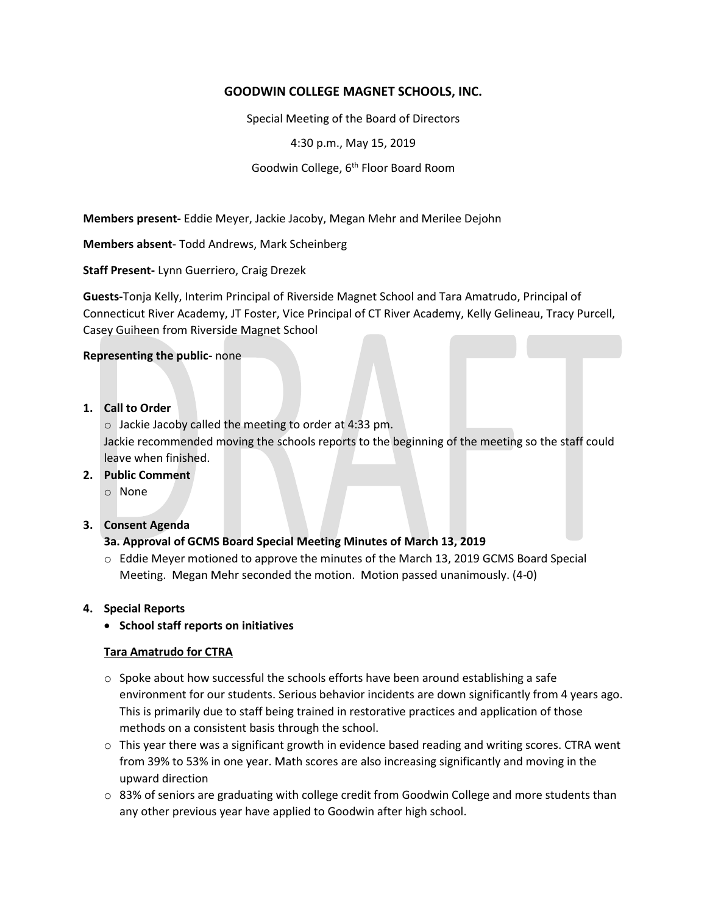# **GOODWIN COLLEGE MAGNET SCHOOLS, INC.**

Special Meeting of the Board of Directors

4:30 p.m., May 15, 2019

Goodwin College, 6<sup>th</sup> Floor Board Room

**Members present-** Eddie Meyer, Jackie Jacoby, Megan Mehr and Merilee Dejohn

**Members absent**- Todd Andrews, Mark Scheinberg

**Staff Present-** Lynn Guerriero, Craig Drezek

**Guests-**Tonja Kelly, Interim Principal of Riverside Magnet School and Tara Amatrudo, Principal of Connecticut River Academy, JT Foster, Vice Principal of CT River Academy, Kelly Gelineau, Tracy Purcell, Casey Guiheen from Riverside Magnet School

#### **Representing the public-** none

### **1. Call to Order**

o Jackie Jacoby called the meeting to order at 4:33 pm. Jackie recommended moving the schools reports to the beginning of the meeting so the staff could leave when finished.

# **2. Public Comment**

o None

#### **3. Consent Agenda**

# **3a. Approval of GCMS Board Special Meeting Minutes of March 13, 2019**

o Eddie Meyer motioned to approve the minutes of the March 13, 2019 GCMS Board Special Meeting. Megan Mehr seconded the motion. Motion passed unanimously. (4-0)

#### **4. Special Reports**

**School staff reports on initiatives**

#### **Tara Amatrudo for CTRA**

- $\circ$  Spoke about how successful the schools efforts have been around establishing a safe environment for our students. Serious behavior incidents are down significantly from 4 years ago. This is primarily due to staff being trained in restorative practices and application of those methods on a consistent basis through the school.
- $\circ$  This year there was a significant growth in evidence based reading and writing scores. CTRA went from 39% to 53% in one year. Math scores are also increasing significantly and moving in the upward direction
- $\circ$  83% of seniors are graduating with college credit from Goodwin College and more students than any other previous year have applied to Goodwin after high school.